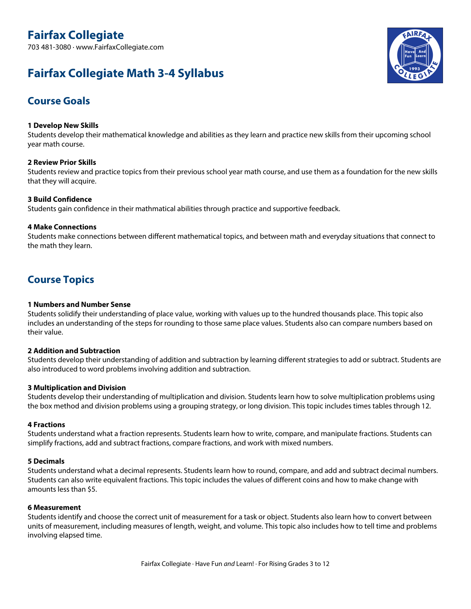703 481-3080 · www.FairfaxCollegiate.com

# **Fairfax Collegiate Math 3-4 Syllabus**



## **Course Goals**

#### **1 Develop New Skills**

Students develop their mathematical knowledge and abilities as they learn and practice new skills from their upcoming school year math course.

#### **2 Review Prior Skills**

Students review and practice topics from their previous school year math course, and use them as <sup>a</sup> foundation for the new skills that they will acquire.

#### **3 Build Confidence**

Students gain confidence in their mathmatical abilities through practice and supportive feedback.

#### **4 Make Connections**

Students make connections between different mathematical topics, and between math and everyday situations that connect to the math they learn.

## **Course Topics**

#### **1 Numbers and Number Sense**

Students solidify their understanding of place value, working with values up to the hundred thousands place. This topic also includes an understanding of the steps for rounding to those same place values. Students also can compare numbers based on their value.

#### **2 Addition and Subtraction**

Students develop their understanding of addition and subtraction by learning different strategies to add or subtract. Students are also introduced to word problems involving addition and subtraction.

#### **3 Multiplication and Division**

Students develop their understanding of multiplication and division. Students learn how to solve multiplication problems using the box method and division problems using <sup>a</sup> grouping strategy, or long division. This topic includes times tables through 12.

#### **4 Fractions**

Students understand what <sup>a</sup> fraction represents. Students learn how to write, compare, and manipulate fractions. Students can simplify fractions, add and subtract fractions, compare fractions, and work with mixed numbers.

#### **5 Decimals**

Students understand what <sup>a</sup> decimal represents. Students learn how to round, compare, and add and subtract decimal numbers. Students can also write equivalent fractions. This topic includes the values of different coins and how to make change with amounts less than \$5.

#### **6 Measurement**

Students identify and choose the correct unit of measurement for <sup>a</sup> task or object. Students also learn how to convert between units of measurement, including measures of length, weight, and volume. This topic also includes how to tell time and problems involving elapsed time.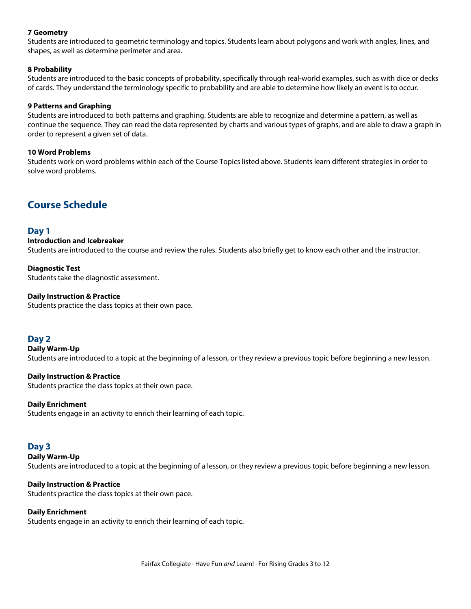#### **7 Geometry**

Students are introduced to geometric terminology and topics. Students learn about polygons and work with angles, lines, and shapes, as well as determine perimeter and area.

#### **8 Probability**

Students are introduced to the basic concepts of probability, specifically through real-world examples, such as with dice or decks of cards. They understand the terminology specific to probability and are able to determine how likely an event is to occur.

#### **9 Patterns and Graphing**

Students are introduced to both patterns and graphing. Students are able to recognize and determine <sup>a</sup> pattern, as well as continue the sequence. They can read the data represented by charts and various types of graphs, and are able to draw <sup>a</sup> graph in order to represent <sup>a</sup> given set of data.

#### **10 Word Problems**

Students work on word problems within each of the Course Topics listed above. Students learn different strategies in order to solve word problems.

## **Course Schedule**

#### **Day 1**

#### **Introduction and Icebreaker**

Students are introduced to the course and review the rules. Students also briefly get to know each other and the instructor.

## **Diagnostic Test**

Students take the diagnostic assessment.

#### **Daily Instruction & Practice**

Students practice the class topics at their own pace.

#### **Day 2**

**Daily Warm-Up** Students are introduced to <sup>a</sup> topic at the beginning of <sup>a</sup> lesson, or they review <sup>a</sup> previous topic before beginning <sup>a</sup> new lesson.

#### **Daily Instruction & Practice**

Students practice the class topics at their own pace.

#### **Daily Enrichment**

Students engage in an activity to enrich their learning of each topic.

#### **Day 3**

#### **Daily Warm-Up**

Students are introduced to <sup>a</sup> topic at the beginning of <sup>a</sup> lesson, or they review <sup>a</sup> previous topic before beginning <sup>a</sup> new lesson.

#### **Daily Instruction & Practice**

Students practice the class topics at their own pace.

#### **Daily Enrichment**

Students engage in an activity to enrich their learning of each topic.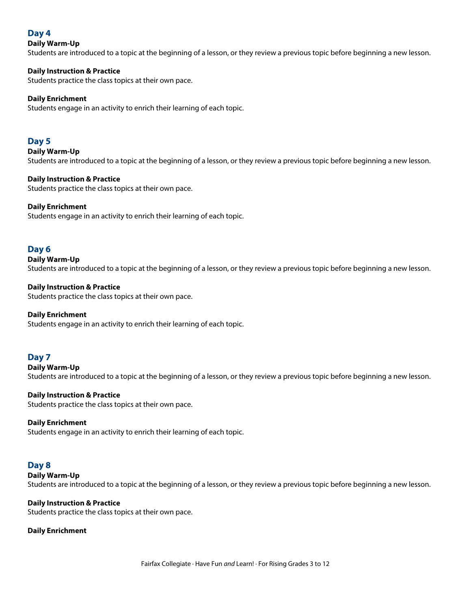## **Day 4**

#### **Daily Warm-Up**

Students are introduced to <sup>a</sup> topic at the beginning of <sup>a</sup> lesson, or they review <sup>a</sup> previous topic before beginning <sup>a</sup> new lesson.

#### **Daily Instruction & Practice**

Students practice the class topics at their own pace.

#### **Daily Enrichment**

Students engage in an activity to enrich their learning of each topic.

### **Day 5**

**Daily Warm-Up** Students are introduced to <sup>a</sup> topic at the beginning of <sup>a</sup> lesson, or they review <sup>a</sup> previous topic before beginning <sup>a</sup> new lesson.

#### **Daily Instruction & Practice**

Students practice the class topics at their own pace.

#### **Daily Enrichment**

Students engage in an activity to enrich their learning of each topic.

### **Day 6**

## **Daily Warm-Up**

Students are introduced to <sup>a</sup> topic at the beginning of <sup>a</sup> lesson, or they review <sup>a</sup> previous topic before beginning <sup>a</sup> new lesson.

### **Daily Instruction & Practice**

Students practice the class topics at their own pace.

#### **Daily Enrichment**

Students engage in an activity to enrich their learning of each topic.

## **Day 7**

**Daily Warm-Up**

Students are introduced to <sup>a</sup> topic at the beginning of <sup>a</sup> lesson, or they review <sup>a</sup> previous topic before beginning <sup>a</sup> new lesson.

#### **Daily Instruction & Practice**

Students practice the class topics at their own pace.

#### **Daily Enrichment**

Students engage in an activity to enrich their learning of each topic.

#### **Day 8**

**Daily Warm-Up**

Students are introduced to <sup>a</sup> topic at the beginning of <sup>a</sup> lesson, or they review <sup>a</sup> previous topic before beginning <sup>a</sup> new lesson.

#### **Daily Instruction & Practice**

Students practice the class topics at their own pace.

#### **Daily Enrichment**